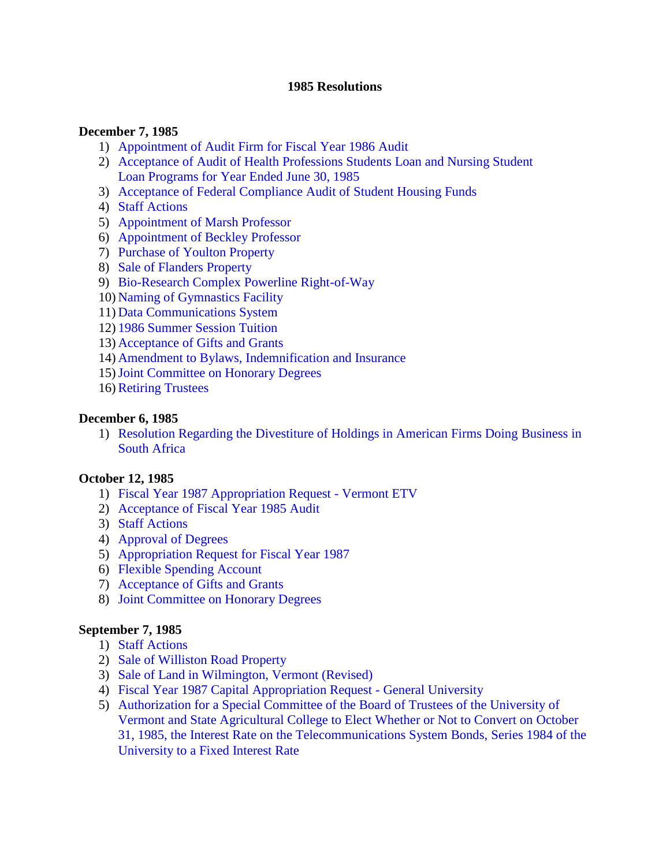#### **1985 Resolutions**

#### **December 7, 1985**

- 1) [Appointment of Audit Firm for Fiscal Year 1986 Audit](#page-3-0)
- 2) [Acceptance of Audit of Health Professions Students Loan and Nursing Student](#page-3-0) Loan Programs for Year Ended June 30, 1985
- 3) [Acceptance of Federal Compliance Audit of Student Housing Funds](#page-3-0)
- 4) [Staff Actions](#page-4-0)
- 5) [Appointment of Marsh Professor](#page-4-0)
- 6) [Appointment of Beckley Professor](#page-4-0)
- 7) [Purchase of Youlton Property](#page-4-0)
- 8) [Sale of Flanders Property](#page-4-0)
- 9) [Bio-Research Complex Powerline Right-of-Way](#page-5-0)
- 10) [Naming of Gymnastics Facility](#page-5-0)
- 11) [Data Communications System](#page-5-0)
- 12) [1986 Summer Session Tuition](#page-5-0)
- 13) [Acceptance of Gifts and Grants](#page-6-0)
- 14) [Amendment to Bylaws, Indemnification and Insurance](#page-6-0)
- 15)[Joint Committee on Honorary Degrees](#page-6-0)
- 16) [Retiring Trustees](#page-6-0)

#### **December 6, 1985**

1) [Resolution Regarding the Divestiture of Holdings in American Firms Doing Business in](#page-7-0)  South Africa

#### **October 12, 1985**

- 1) [Fiscal Year 1987 Appropriation Request Vermont ETV](#page-8-0)
- 2) [Acceptance of Fiscal Year 1985 Audit](#page-8-0)
- 3) [Staff Actions](#page-8-0)
- 4) [Approval of Degrees](#page-9-0)
- 5) [Appropriation Request for Fiscal Year 1987](#page-9-0)
- 6) [Flexible Spending Account](#page-9-0)
- 7) [Acceptance of Gifts and Grants](#page-9-0)
- 8) [Joint Committee on Honorary Degrees](#page-9-0)

#### **September 7, 1985**

- 1) [Staff Actions](#page-10-0)
- 2) [Sale of Williston Road Property](#page-10-0)
- 3) [Sale of Land in Wilmington, Vermont \(Revised\)](#page-10-0)
- 4) [Fiscal Year 1987 Capital Appropriation Request General University](#page-11-0)
- 5) Authorization for a Special Committee of the Board of Trustees of the University of Vermont and State Agricultural College to Elect Whether or Not to Convert on October [31, 1985, the Interest Rate on the Telecommunications System Bonds, Series 1984 of the](#page-11-0)  University to a Fixed Interest Rate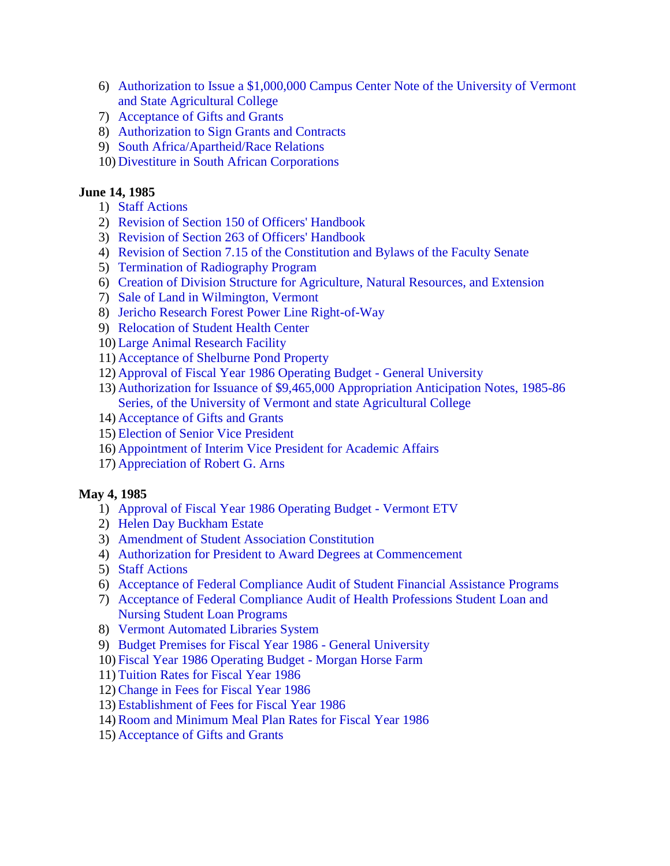- 6) [Authorization to Issue a \\$1,000,000 Campus Center Note of the University of Vermont](#page-11-0)  and State Agricultural College
- 7) [Acceptance of Gifts and Grants](#page-11-0)
- 8) [Authorization to Sign Grants and Contracts](#page-12-0)
- 9) [South Africa/Apartheid/Race Relations](#page-12-0)
- 10) [Divestiture in South African Corporations](#page-12-0)

### **June 14, 1985**

- 1) [Staff Actions](#page-14-0)
- 2) [Revision of Section 150 of Officers' Handbook](#page-14-0)
- 3) [Revision of Section 263 of Officers' Handbook](#page-14-0)
- 4) [Revision of Section 7.15 of the Constitution and Bylaws of the Faculty Senate](#page-14-0)
- 5) [Termination of Radiography Program](#page-14-0)
- 6) [Creation of Division Structure for Agriculture, Natural Resources, and Extension](#page-14-0)
- 7) [Sale of Land in Wilmington, Vermont](#page-14-0)
- 8) [Jericho Research Forest Power Line Right-of-Way](#page-15-0)
- 9) [Relocation of Student Health Center](#page-15-0)
- 10) [Large Animal Research Facility](#page-16-0)
- 11) [Acceptance of Shelburne Pond Property](#page-16-0)
- 12) [Approval of Fiscal Year 1986 Operating Budget General University](#page-16-0)
- 13) [Authorization for Issuance of \\$9,465,000 Appropriation Anticipation Notes, 1985-86](#page-16-0)  Series, of the University of Vermont and state Agricultural College
- 14) [Acceptance of Gifts and Grants](#page-16-0)
- 15) [Election of Senior Vice President](#page-16-0)
- 16) [Appointment of Interim Vice President for Academic Affairs](#page-17-0)
- 17) [Appreciation of Robert G. Arns](#page-17-0)

#### **May 4, 1985**

- 1) [Approval of Fiscal Year 1986 Operating Budget Vermont ETV](#page-18-0)
- 2) [Helen Day Buckham Estate](#page-18-0)
- 3) [Amendment of Student Association Constitution](#page-18-0)
- 4) [Authorization for President to Award Degrees at Commencement](#page-19-0)
- 5) [Staff Actions](#page-19-0)
- 6) [Acceptance of Federal Compliance Audit of Student Financial Assistance Programs](#page-19-0)
- 7) [Acceptance of Federal Compliance Audit of Health Professions Student Loan and](#page-19-0) Nursing Student Loan Programs
- 8) [Vermont Automated Libraries System](#page-20-0)
- 9) [Budget Premises for Fiscal Year 1986 General University](#page-20-0)
- 10) [Fiscal Year 1986 Operating Budget Morgan Horse Farm](#page-20-0)
- 11) [Tuition Rates for Fiscal Year 1986](#page-20-0)
- 12)[Change in Fees for Fiscal Year 1986](#page-20-0)
- 13) [Establishment of Fees for Fiscal Year 1986](#page-21-0)
- 14)[Room and Minimum Meal Plan Rates for Fiscal Year 1986](#page-21-0)
- 15) [Acceptance of Gifts and Grants](#page-21-0)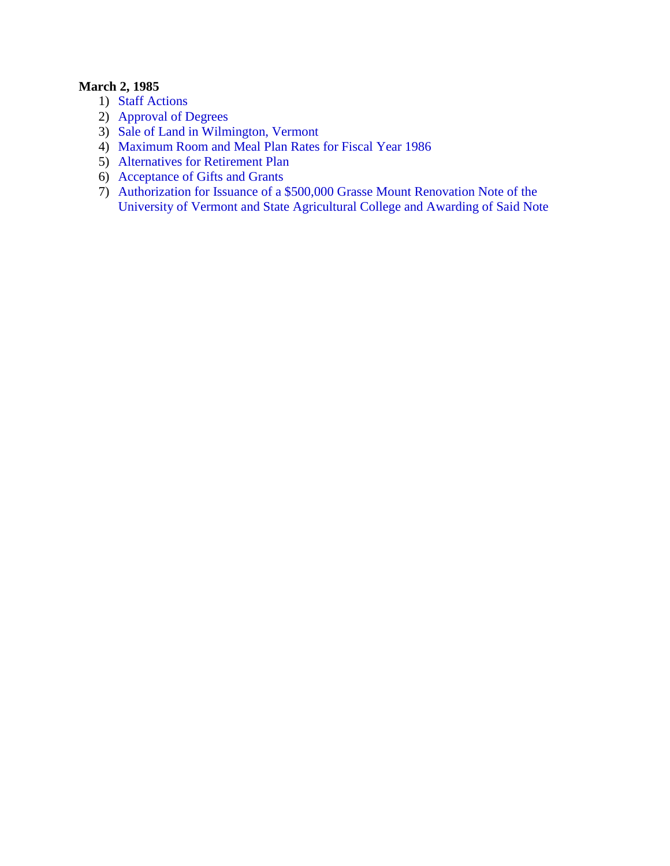# **March 2, 1985**

- 1) [Staff Actions](#page-22-0)
- 2) [Approval of Degrees](#page-22-0)
- 3) [Sale of Land in Wilmington, Vermont](#page-22-0)
- 4) [Maximum Room and Meal Plan Rates for Fiscal Year 1986](#page-23-0)
- 5) [Alternatives for Retirement Plan](#page-23-0)
- 6) [Acceptance of Gifts and Grants](#page-23-0)
- 7) Authorization for Issuance of a \$500,000 Grasse Mount Renovation Note of the [University of Vermont and State Agricultural College and Awarding of Said Note](#page-23-0)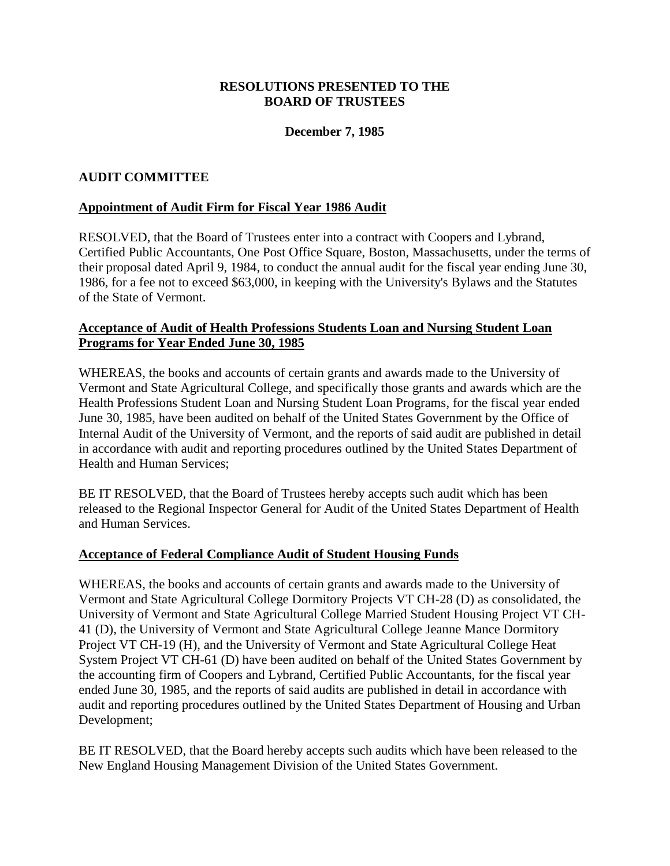## **December 7, 1985**

### <span id="page-3-0"></span>**AUDIT COMMITTEE**

#### **Appointment of Audit Firm for Fiscal Year 1986 Audit**

RESOLVED, that the Board of Trustees enter into a contract with Coopers and Lybrand, Certified Public Accountants, One Post Office Square, Boston, Massachusetts, under the terms of their proposal dated April 9, 1984, to conduct the annual audit for the fiscal year ending June 30, 1986, for a fee not to exceed \$63,000, in keeping with the University's Bylaws and the Statutes of the State of Vermont.

### **Acceptance of Audit of Health Professions Students Loan and Nursing Student Loan Programs for Year Ended June 30, 1985**

WHEREAS, the books and accounts of certain grants and awards made to the University of Vermont and State Agricultural College, and specifically those grants and awards which are the Health Professions Student Loan and Nursing Student Loan Programs, for the fiscal year ended June 30, 1985, have been audited on behalf of the United States Government by the Office of Internal Audit of the University of Vermont, and the reports of said audit are published in detail in accordance with audit and reporting procedures outlined by the United States Department of Health and Human Services;

BE IT RESOLVED, that the Board of Trustees hereby accepts such audit which has been released to the Regional Inspector General for Audit of the United States Department of Health and Human Services.

#### **Acceptance of Federal Compliance Audit of Student Housing Funds**

WHEREAS, the books and accounts of certain grants and awards made to the University of Vermont and State Agricultural College Dormitory Projects VT CH-28 (D) as consolidated, the University of Vermont and State Agricultural College Married Student Housing Project VT CH-41 (D), the University of Vermont and State Agricultural College Jeanne Mance Dormitory Project VT CH-19 (H), and the University of Vermont and State Agricultural College Heat System Project VT CH-61 (D) have been audited on behalf of the United States Government by the accounting firm of Coopers and Lybrand, Certified Public Accountants, for the fiscal year ended June 30, 1985, and the reports of said audits are published in detail in accordance with audit and reporting procedures outlined by the United States Department of Housing and Urban Development;

BE IT RESOLVED, that the Board hereby accepts such audits which have been released to the New England Housing Management Division of the United States Government.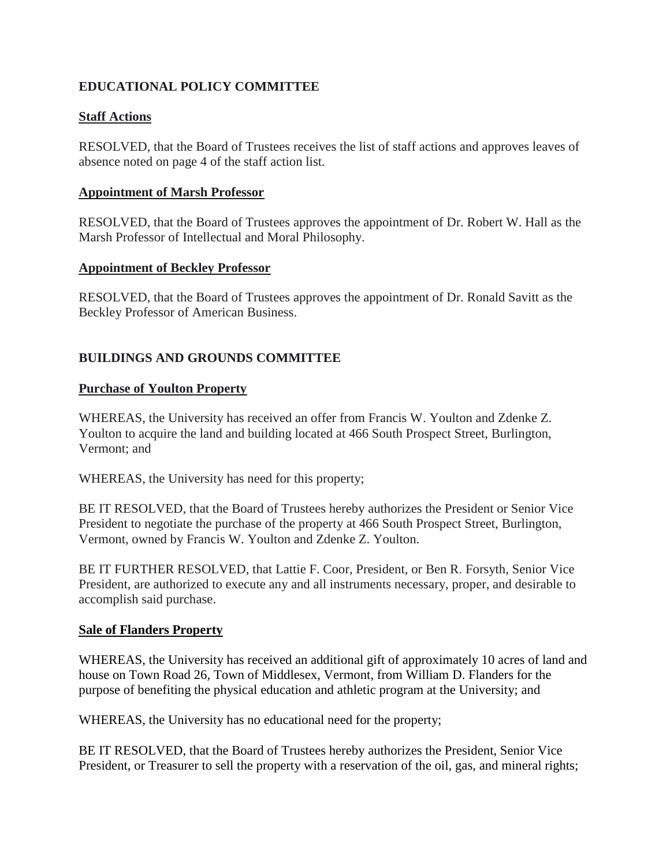# <span id="page-4-0"></span>**EDUCATIONAL POLICY COMMITTEE**

## **Staff Actions**

RESOLVED, that the Board of Trustees receives the list of staff actions and approves leaves of absence noted on page 4 of the staff action list.

#### **Appointment of Marsh Professor**

RESOLVED, that the Board of Trustees approves the appointment of Dr. Robert W. Hall as the Marsh Professor of Intellectual and Moral Philosophy.

#### **Appointment of Beckley Professor**

RESOLVED, that the Board of Trustees approves the appointment of Dr. Ronald Savitt as the Beckley Professor of American Business.

# **BUILDINGS AND GROUNDS COMMITTEE**

### **Purchase of Youlton Property**

WHEREAS, the University has received an offer from Francis W. Youlton and Zdenke Z. Youlton to acquire the land and building located at 466 South Prospect Street, Burlington, Vermont; and

WHEREAS, the University has need for this property;

BE IT RESOLVED, that the Board of Trustees hereby authorizes the President or Senior Vice President to negotiate the purchase of the property at 466 South Prospect Street, Burlington, Vermont, owned by Francis W. Youlton and Zdenke Z. Youlton.

BE IT FURTHER RESOLVED, that Lattie F. Coor, President, or Ben R. Forsyth, Senior Vice President, are authorized to execute any and all instruments necessary, proper, and desirable to accomplish said purchase.

#### **Sale of Flanders Property**

WHEREAS, the University has received an additional gift of approximately 10 acres of land and house on Town Road 26, Town of Middlesex, Vermont, from William D. Flanders for the purpose of benefiting the physical education and athletic program at the University; and

WHEREAS, the University has no educational need for the property;

BE IT RESOLVED, that the Board of Trustees hereby authorizes the President, Senior Vice President, or Treasurer to sell the property with a reservation of the oil, gas, and mineral rights;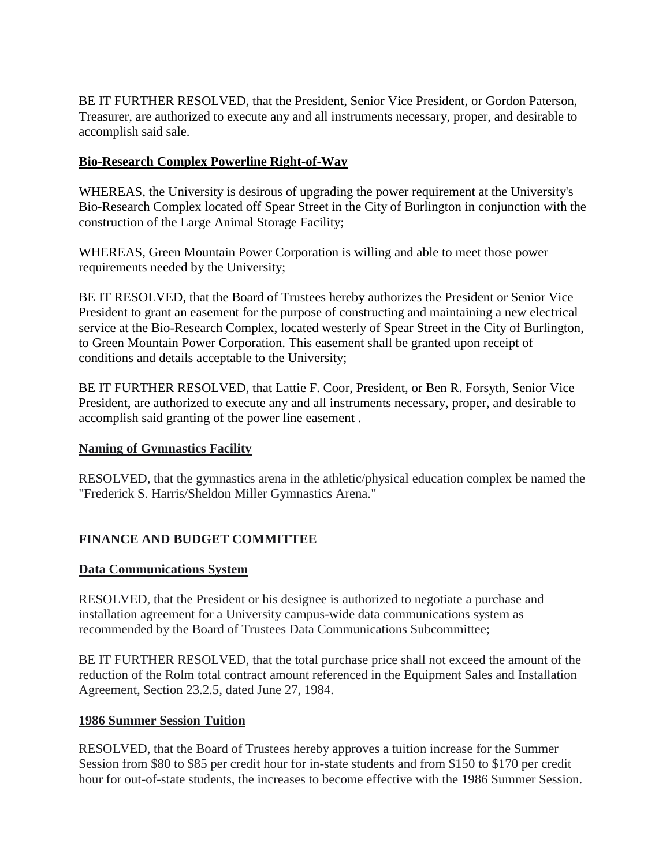<span id="page-5-0"></span>BE IT FURTHER RESOLVED, that the President, Senior Vice President, or Gordon Paterson, Treasurer, are authorized to execute any and all instruments necessary, proper, and desirable to accomplish said sale.

## **Bio-Research Complex Powerline Right-of-Way**

WHEREAS, the University is desirous of upgrading the power requirement at the University's Bio-Research Complex located off Spear Street in the City of Burlington in conjunction with the construction of the Large Animal Storage Facility;

WHEREAS, Green Mountain Power Corporation is willing and able to meet those power requirements needed by the University;

BE IT RESOLVED, that the Board of Trustees hereby authorizes the President or Senior Vice President to grant an easement for the purpose of constructing and maintaining a new electrical service at the Bio-Research Complex, located westerly of Spear Street in the City of Burlington, to Green Mountain Power Corporation. This easement shall be granted upon receipt of conditions and details acceptable to the University;

BE IT FURTHER RESOLVED, that Lattie F. Coor, President, or Ben R. Forsyth, Senior Vice President, are authorized to execute any and all instruments necessary, proper, and desirable to accomplish said granting of the power line easement .

## **Naming of Gymnastics Facility**

RESOLVED, that the gymnastics arena in the athletic/physical education complex be named the "Frederick S. Harris/Sheldon Miller Gymnastics Arena."

# **FINANCE AND BUDGET COMMITTEE**

## **Data Communications System**

RESOLVED, that the President or his designee is authorized to negotiate a purchase and installation agreement for a University campus-wide data communications system as recommended by the Board of Trustees Data Communications Subcommittee;

BE IT FURTHER RESOLVED, that the total purchase price shall not exceed the amount of the reduction of the Rolm total contract amount referenced in the Equipment Sales and Installation Agreement, Section 23.2.5, dated June 27, 1984.

## **1986 Summer Session Tuition**

RESOLVED, that the Board of Trustees hereby approves a tuition increase for the Summer Session from \$80 to \$85 per credit hour for in-state students and from \$150 to \$170 per credit hour for out-of-state students, the increases to become effective with the 1986 Summer Session.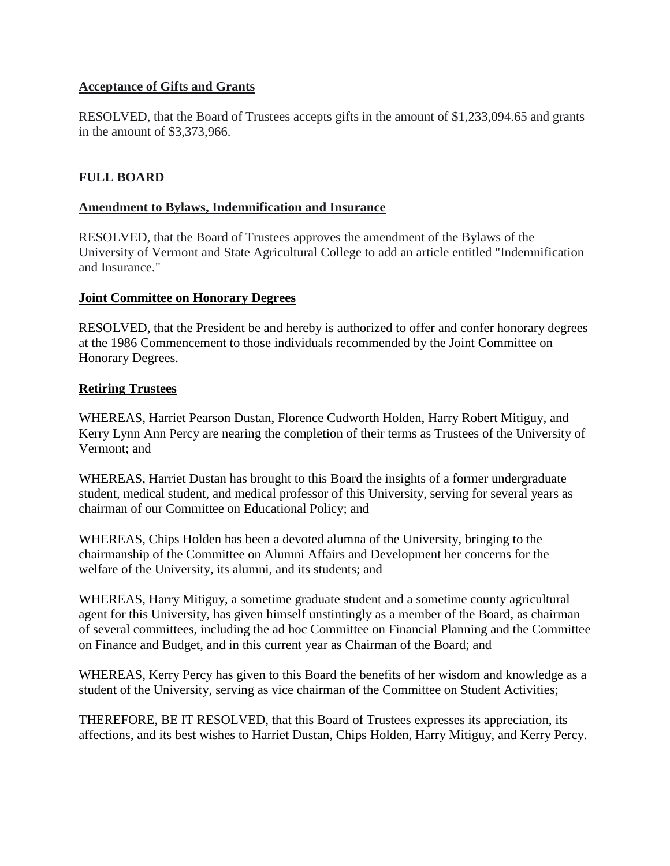## <span id="page-6-0"></span>**Acceptance of Gifts and Grants**

RESOLVED, that the Board of Trustees accepts gifts in the amount of \$1,233,094.65 and grants in the amount of \$3,373,966.

## **FULL BOARD**

#### **Amendment to Bylaws, Indemnification and Insurance**

RESOLVED, that the Board of Trustees approves the amendment of the Bylaws of the University of Vermont and State Agricultural College to add an article entitled "Indemnification and Insurance."

#### **Joint Committee on Honorary Degrees**

RESOLVED, that the President be and hereby is authorized to offer and confer honorary degrees at the 1986 Commencement to those individuals recommended by the Joint Committee on Honorary Degrees.

#### **Retiring Trustees**

WHEREAS, Harriet Pearson Dustan, Florence Cudworth Holden, Harry Robert Mitiguy, and Kerry Lynn Ann Percy are nearing the completion of their terms as Trustees of the University of Vermont; and

WHEREAS, Harriet Dustan has brought to this Board the insights of a former undergraduate student, medical student, and medical professor of this University, serving for several years as chairman of our Committee on Educational Policy; and

WHEREAS, Chips Holden has been a devoted alumna of the University, bringing to the chairmanship of the Committee on Alumni Affairs and Development her concerns for the welfare of the University, its alumni, and its students; and

WHEREAS, Harry Mitiguy, a sometime graduate student and a sometime county agricultural agent for this University, has given himself unstintingly as a member of the Board, as chairman of several committees, including the ad hoc Committee on Financial Planning and the Committee on Finance and Budget, and in this current year as Chairman of the Board; and

WHEREAS, Kerry Percy has given to this Board the benefits of her wisdom and knowledge as a student of the University, serving as vice chairman of the Committee on Student Activities;

THEREFORE, BE IT RESOLVED, that this Board of Trustees expresses its appreciation, its affections, and its best wishes to Harriet Dustan, Chips Holden, Harry Mitiguy, and Kerry Percy.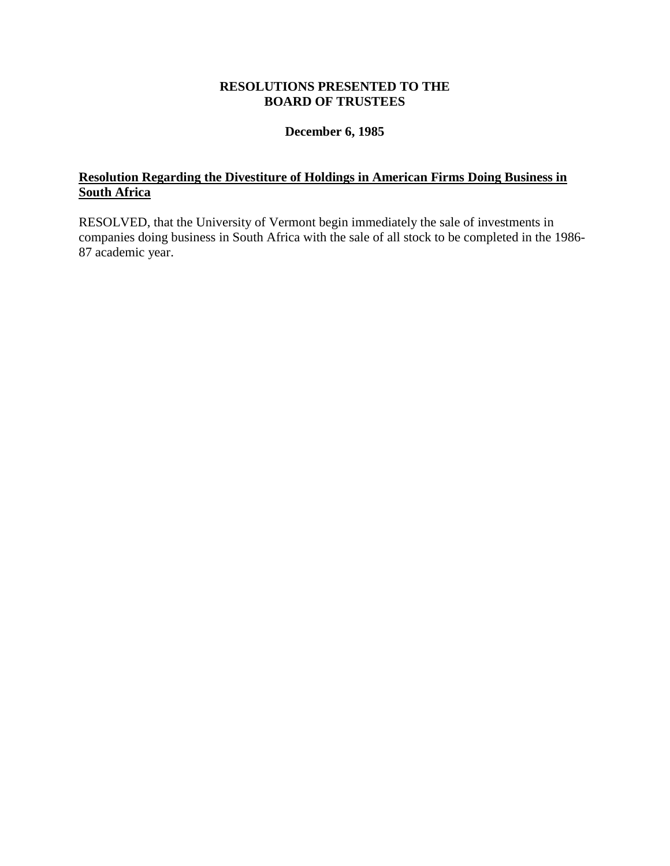### **December 6, 1985**

# <span id="page-7-0"></span>**Resolution Regarding the Divestiture of Holdings in American Firms Doing Business in South Africa**

RESOLVED, that the University of Vermont begin immediately the sale of investments in companies doing business in South Africa with the sale of all stock to be completed in the 1986- 87 academic year.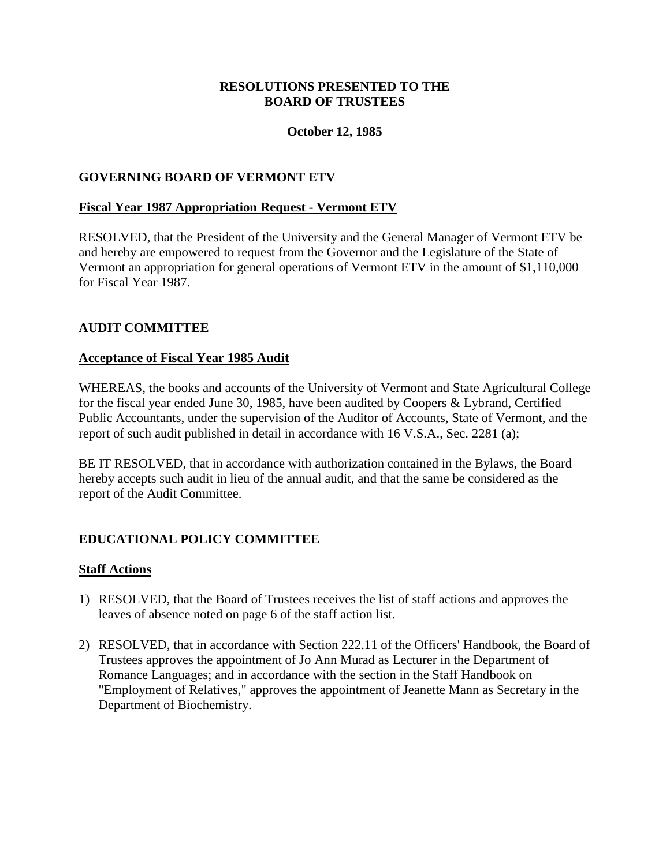## **October 12, 1985**

### <span id="page-8-0"></span>**GOVERNING BOARD OF VERMONT ETV**

#### **Fiscal Year 1987 Appropriation Request - Vermont ETV**

RESOLVED, that the President of the University and the General Manager of Vermont ETV be and hereby are empowered to request from the Governor and the Legislature of the State of Vermont an appropriation for general operations of Vermont ETV in the amount of \$1,110,000 for Fiscal Year 1987.

### **AUDIT COMMITTEE**

#### **Acceptance of Fiscal Year 1985 Audit**

WHEREAS, the books and accounts of the University of Vermont and State Agricultural College for the fiscal year ended June 30, 1985, have been audited by Coopers & Lybrand, Certified Public Accountants, under the supervision of the Auditor of Accounts, State of Vermont, and the report of such audit published in detail in accordance with 16 V.S.A., Sec. 2281 (a);

BE IT RESOLVED, that in accordance with authorization contained in the Bylaws, the Board hereby accepts such audit in lieu of the annual audit, and that the same be considered as the report of the Audit Committee.

## **EDUCATIONAL POLICY COMMITTEE**

#### **Staff Actions**

- 1) RESOLVED, that the Board of Trustees receives the list of staff actions and approves the leaves of absence noted on page 6 of the staff action list.
- 2) RESOLVED, that in accordance with Section 222.11 of the Officers' Handbook, the Board of Trustees approves the appointment of Jo Ann Murad as Lecturer in the Department of Romance Languages; and in accordance with the section in the Staff Handbook on "Employment of Relatives," approves the appointment of Jeanette Mann as Secretary in the Department of Biochemistry.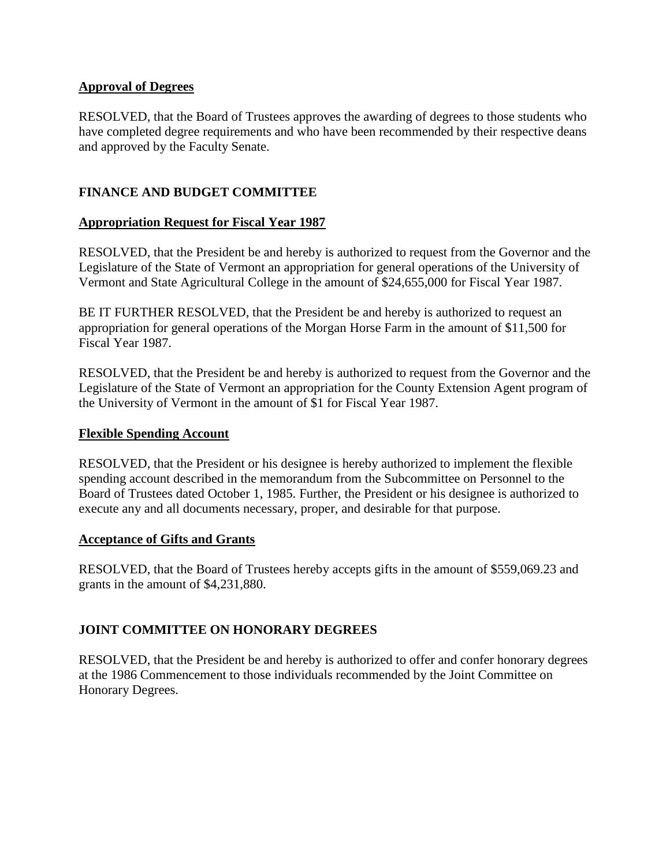### <span id="page-9-0"></span>**Approval of Degrees**

RESOLVED, that the Board of Trustees approves the awarding of degrees to those students who have completed degree requirements and who have been recommended by their respective deans and approved by the Faculty Senate.

# **FINANCE AND BUDGET COMMITTEE**

## **Appropriation Request for Fiscal Year 1987**

RESOLVED, that the President be and hereby is authorized to request from the Governor and the Legislature of the State of Vermont an appropriation for general operations of the University of Vermont and State Agricultural College in the amount of \$24,655,000 for Fiscal Year 1987.

BE IT FURTHER RESOLVED, that the President be and hereby is authorized to request an appropriation for general operations of the Morgan Horse Farm in the amount of \$11,500 for Fiscal Year 1987.

RESOLVED, that the President be and hereby is authorized to request from the Governor and the Legislature of the State of Vermont an appropriation for the County Extension Agent program of the University of Vermont in the amount of \$1 for Fiscal Year 1987.

#### **Flexible Spending Account**

RESOLVED, that the President or his designee is hereby authorized to implement the flexible spending account described in the memorandum from the Subcommittee on Personnel to the Board of Trustees dated October 1, 1985. Further, the President or his designee is authorized to execute any and all documents necessary, proper, and desirable for that purpose.

#### **Acceptance of Gifts and Grants**

RESOLVED, that the Board of Trustees hereby accepts gifts in the amount of \$559,069.23 and grants in the amount of \$4,231,880.

## **JOINT COMMITTEE ON HONORARY DEGREES**

RESOLVED, that the President be and hereby is authorized to offer and confer honorary degrees at the 1986 Commencement to those individuals recommended by the Joint Committee on Honorary Degrees.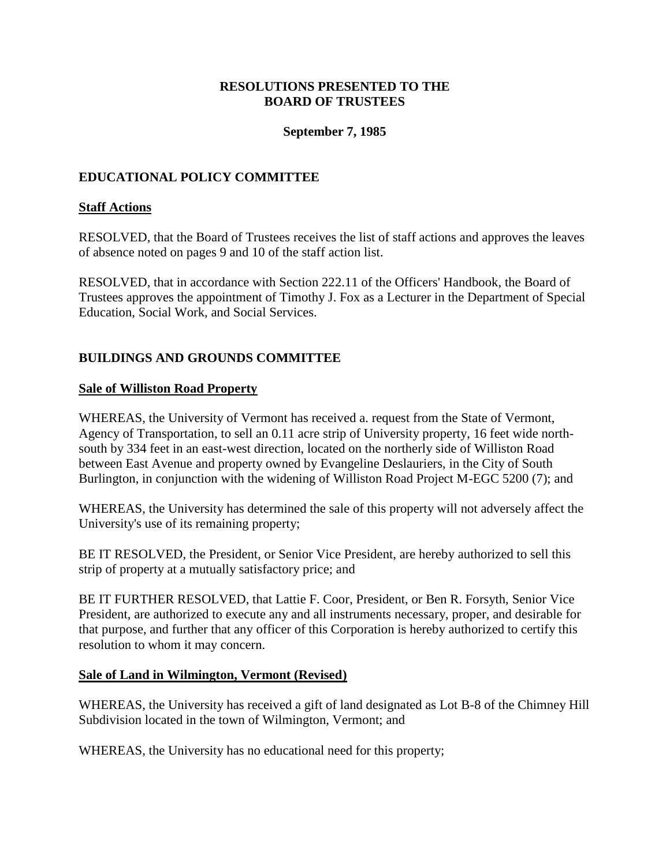### **September 7, 1985**

## <span id="page-10-0"></span>**EDUCATIONAL POLICY COMMITTEE**

### **Staff Actions**

RESOLVED, that the Board of Trustees receives the list of staff actions and approves the leaves of absence noted on pages 9 and 10 of the staff action list.

RESOLVED, that in accordance with Section 222.11 of the Officers' Handbook, the Board of Trustees approves the appointment of Timothy J. Fox as a Lecturer in the Department of Special Education, Social Work, and Social Services.

## **BUILDINGS AND GROUNDS COMMITTEE**

#### **Sale of Williston Road Property**

WHEREAS, the University of Vermont has received a. request from the State of Vermont, Agency of Transportation, to sell an 0.11 acre strip of University property, 16 feet wide northsouth by 334 feet in an east-west direction, located on the northerly side of Williston Road between East Avenue and property owned by Evangeline Deslauriers, in the City of South Burlington, in conjunction with the widening of Williston Road Project M-EGC 5200 (7); and

WHEREAS, the University has determined the sale of this property will not adversely affect the University's use of its remaining property;

BE IT RESOLVED, the President, or Senior Vice President, are hereby authorized to sell this strip of property at a mutually satisfactory price; and

BE IT FURTHER RESOLVED, that Lattie F. Coor, President, or Ben R. Forsyth, Senior Vice President, are authorized to execute any and all instruments necessary, proper, and desirable for that purpose, and further that any officer of this Corporation is hereby authorized to certify this resolution to whom it may concern.

#### **Sale of Land in Wilmington, Vermont (Revised)**

WHEREAS, the University has received a gift of land designated as Lot B-8 of the Chimney Hill Subdivision located in the town of Wilmington, Vermont; and

WHEREAS, the University has no educational need for this property;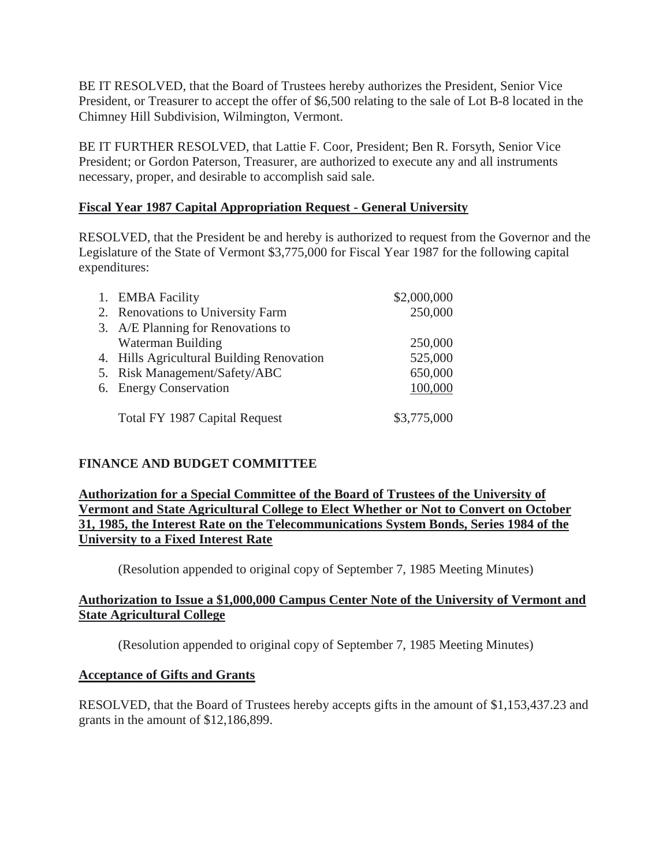<span id="page-11-0"></span>BE IT RESOLVED, that the Board of Trustees hereby authorizes the President, Senior Vice President, or Treasurer to accept the offer of \$6,500 relating to the sale of Lot B-8 located in the Chimney Hill Subdivision, Wilmington, Vermont.

BE IT FURTHER RESOLVED, that Lattie F. Coor, President; Ben R. Forsyth, Senior Vice President; or Gordon Paterson, Treasurer, are authorized to execute any and all instruments necessary, proper, and desirable to accomplish said sale.

## **Fiscal Year 1987 Capital Appropriation Request - General University**

RESOLVED, that the President be and hereby is authorized to request from the Governor and the Legislature of the State of Vermont \$3,775,000 for Fiscal Year 1987 for the following capital expenditures:

| 1. EMBA Facility                          | \$2,000,000 |
|-------------------------------------------|-------------|
| 2. Renovations to University Farm         | 250,000     |
| 3. A/E Planning for Renovations to        |             |
| Waterman Building                         | 250,000     |
| 4. Hills Agricultural Building Renovation | 525,000     |
| 5. Risk Management/Safety/ABC             | 650,000     |
| 6. Energy Conservation                    | 100,000     |
|                                           |             |
| Total FY 1987 Capital Request             | \$3,775,000 |
|                                           |             |

# **FINANCE AND BUDGET COMMITTEE**

**Authorization for a Special Committee of the Board of Trustees of the University of Vermont and State Agricultural College to Elect Whether or Not to Convert on October 31, 1985, the Interest Rate on the Telecommunications System Bonds, Series 1984 of the University to a Fixed Interest Rate**

(Resolution appended to original copy of September 7, 1985 Meeting Minutes)

## **Authorization to Issue a \$1,000,000 Campus Center Note of the University of Vermont and State Agricultural College**

(Resolution appended to original copy of September 7, 1985 Meeting Minutes)

# **Acceptance of Gifts and Grants**

RESOLVED, that the Board of Trustees hereby accepts gifts in the amount of \$1,153,437.23 and grants in the amount of \$12,186,899.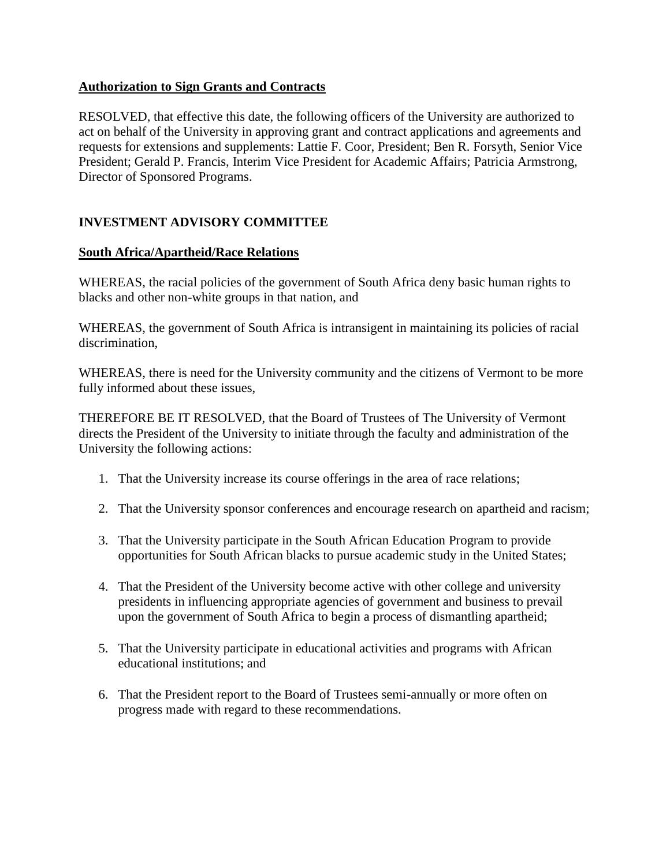## <span id="page-12-0"></span>**Authorization to Sign Grants and Contracts**

RESOLVED, that effective this date, the following officers of the University are authorized to act on behalf of the University in approving grant and contract applications and agreements and requests for extensions and supplements: Lattie F. Coor, President; Ben R. Forsyth, Senior Vice President; Gerald P. Francis, Interim Vice President for Academic Affairs; Patricia Armstrong, Director of Sponsored Programs.

## **INVESTMENT ADVISORY COMMITTEE**

### **South Africa/Apartheid/Race Relations**

WHEREAS, the racial policies of the government of South Africa deny basic human rights to blacks and other non-white groups in that nation, and

WHEREAS, the government of South Africa is intransigent in maintaining its policies of racial discrimination,

WHEREAS, there is need for the University community and the citizens of Vermont to be more fully informed about these issues,

THEREFORE BE IT RESOLVED, that the Board of Trustees of The University of Vermont directs the President of the University to initiate through the faculty and administration of the University the following actions:

- 1. That the University increase its course offerings in the area of race relations;
- 2. That the University sponsor conferences and encourage research on apartheid and racism;
- 3. That the University participate in the South African Education Program to provide opportunities for South African blacks to pursue academic study in the United States;
- 4. That the President of the University become active with other college and university presidents in influencing appropriate agencies of government and business to prevail upon the government of South Africa to begin a process of dismantling apartheid;
- 5. That the University participate in educational activities and programs with African educational institutions; and
- 6. That the President report to the Board of Trustees semi-annually or more often on progress made with regard to these recommendations.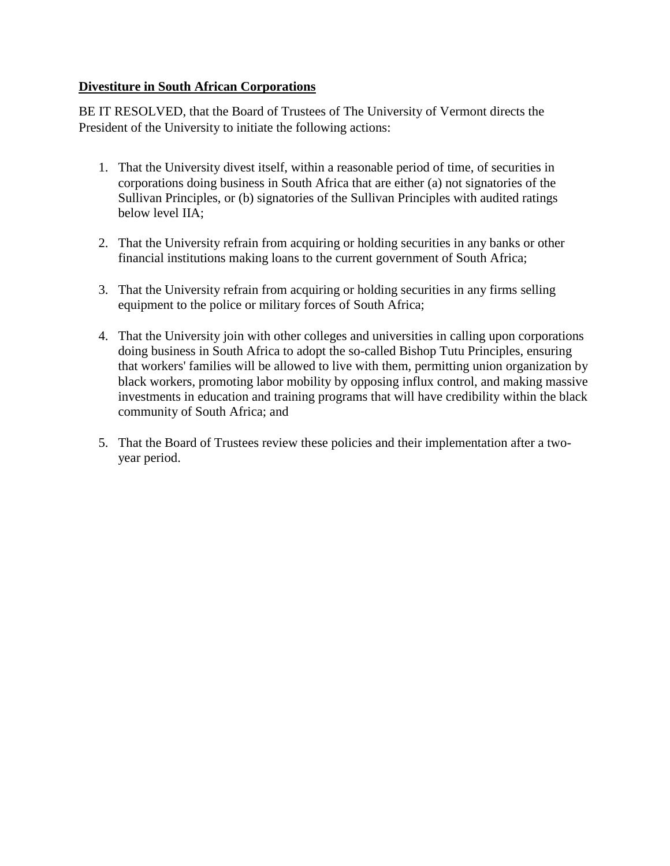## **Divestiture in South African Corporations**

BE IT RESOLVED, that the Board of Trustees of The University of Vermont directs the President of the University to initiate the following actions:

- 1. That the University divest itself, within a reasonable period of time, of securities in corporations doing business in South Africa that are either (a) not signatories of the Sullivan Principles, or (b) signatories of the Sullivan Principles with audited ratings below level IIA;
- 2. That the University refrain from acquiring or holding securities in any banks or other financial institutions making loans to the current government of South Africa;
- 3. That the University refrain from acquiring or holding securities in any firms selling equipment to the police or military forces of South Africa;
- 4. That the University join with other colleges and universities in calling upon corporations doing business in South Africa to adopt the so-called Bishop Tutu Principles, ensuring that workers' families will be allowed to live with them, permitting union organization by black workers, promoting labor mobility by opposing influx control, and making massive investments in education and training programs that will have credibility within the black community of South Africa; and
- 5. That the Board of Trustees review these policies and their implementation after a twoyear period.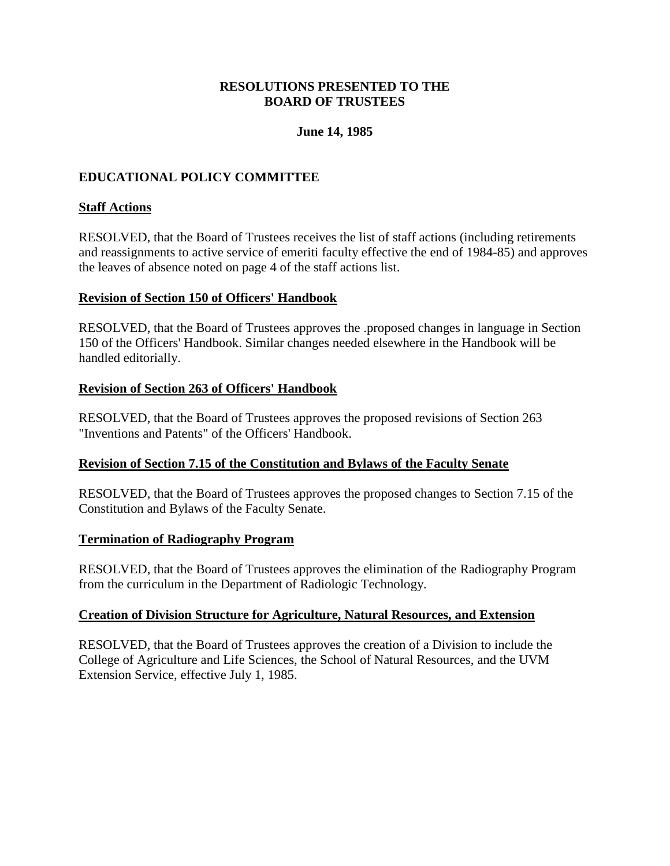## **June 14, 1985**

## <span id="page-14-0"></span>**EDUCATIONAL POLICY COMMITTEE**

## **Staff Actions**

RESOLVED, that the Board of Trustees receives the list of staff actions (including retirements and reassignments to active service of emeriti faculty effective the end of 1984-85) and approves the leaves of absence noted on page 4 of the staff actions list.

### **Revision of Section 150 of Officers' Handbook**

RESOLVED, that the Board of Trustees approves the .proposed changes in language in Section 150 of the Officers' Handbook. Similar changes needed elsewhere in the Handbook will be handled editorially.

#### **Revision of Section 263 of Officers' Handbook**

RESOLVED, that the Board of Trustees approves the proposed revisions of Section 263 "Inventions and Patents" of the Officers' Handbook.

## **Revision of Section 7.15 of the Constitution and Bylaws of the Faculty Senate**

RESOLVED, that the Board of Trustees approves the proposed changes to Section 7.15 of the Constitution and Bylaws of the Faculty Senate.

#### **Termination of Radiography Program**

RESOLVED, that the Board of Trustees approves the elimination of the Radiography Program from the curriculum in the Department of Radiologic Technology.

#### **Creation of Division Structure for Agriculture, Natural Resources, and Extension**

RESOLVED, that the Board of Trustees approves the creation of a Division to include the College of Agriculture and Life Sciences, the School of Natural Resources, and the UVM Extension Service, effective July 1, 1985.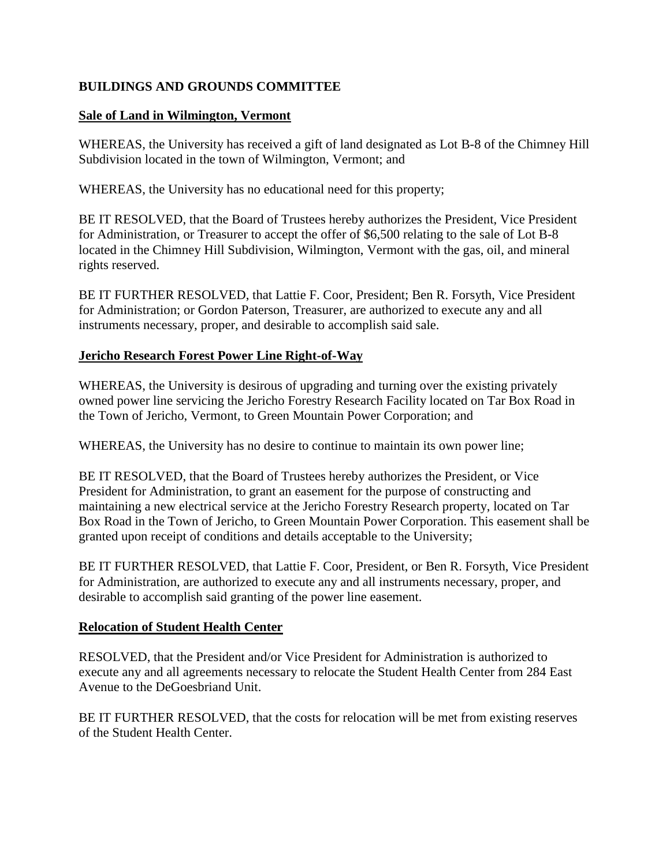# <span id="page-15-0"></span>**BUILDINGS AND GROUNDS COMMITTEE**

### **Sale of Land in Wilmington, Vermont**

WHEREAS, the University has received a gift of land designated as Lot B-8 of the Chimney Hill Subdivision located in the town of Wilmington, Vermont; and

WHEREAS, the University has no educational need for this property;

BE IT RESOLVED, that the Board of Trustees hereby authorizes the President, Vice President for Administration, or Treasurer to accept the offer of \$6,500 relating to the sale of Lot B-8 located in the Chimney Hill Subdivision, Wilmington, Vermont with the gas, oil, and mineral rights reserved.

BE IT FURTHER RESOLVED, that Lattie F. Coor, President; Ben R. Forsyth, Vice President for Administration; or Gordon Paterson, Treasurer, are authorized to execute any and all instruments necessary, proper, and desirable to accomplish said sale.

## **Jericho Research Forest Power Line Right-of-Way**

WHEREAS, the University is desirous of upgrading and turning over the existing privately owned power line servicing the Jericho Forestry Research Facility located on Tar Box Road in the Town of Jericho, Vermont, to Green Mountain Power Corporation; and

WHEREAS, the University has no desire to continue to maintain its own power line;

BE IT RESOLVED, that the Board of Trustees hereby authorizes the President, or Vice President for Administration, to grant an easement for the purpose of constructing and maintaining a new electrical service at the Jericho Forestry Research property, located on Tar Box Road in the Town of Jericho, to Green Mountain Power Corporation. This easement shall be granted upon receipt of conditions and details acceptable to the University;

BE IT FURTHER RESOLVED, that Lattie F. Coor, President, or Ben R. Forsyth, Vice President for Administration, are authorized to execute any and all instruments necessary, proper, and desirable to accomplish said granting of the power line easement.

#### **Relocation of Student Health Center**

RESOLVED, that the President and/or Vice President for Administration is authorized to execute any and all agreements necessary to relocate the Student Health Center from 284 East Avenue to the DeGoesbriand Unit.

BE IT FURTHER RESOLVED, that the costs for relocation will be met from existing reserves of the Student Health Center.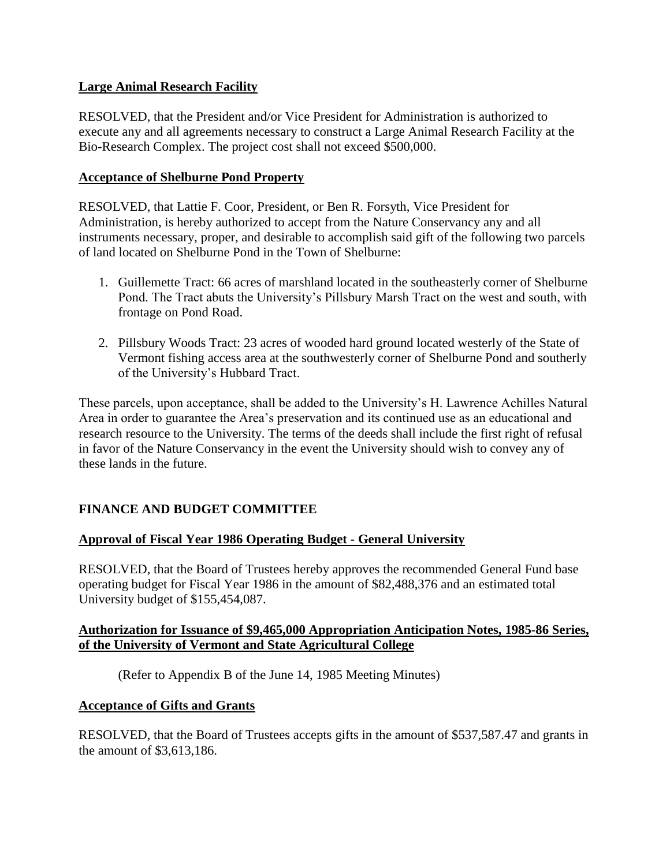## <span id="page-16-0"></span>**Large Animal Research Facility**

RESOLVED, that the President and/or Vice President for Administration is authorized to execute any and all agreements necessary to construct a Large Animal Research Facility at the Bio-Research Complex. The project cost shall not exceed \$500,000.

### **Acceptance of Shelburne Pond Property**

RESOLVED, that Lattie F. Coor, President, or Ben R. Forsyth, Vice President for Administration, is hereby authorized to accept from the Nature Conservancy any and all instruments necessary, proper, and desirable to accomplish said gift of the following two parcels of land located on Shelburne Pond in the Town of Shelburne:

- 1. Guillemette Tract: 66 acres of marshland located in the southeasterly corner of Shelburne Pond. The Tract abuts the University's Pillsbury Marsh Tract on the west and south, with frontage on Pond Road.
- 2. Pillsbury Woods Tract: 23 acres of wooded hard ground located westerly of the State of Vermont fishing access area at the southwesterly corner of Shelburne Pond and southerly of the University's Hubbard Tract.

These parcels, upon acceptance, shall be added to the University's H. Lawrence Achilles Natural Area in order to guarantee the Area's preservation and its continued use as an educational and research resource to the University. The terms of the deeds shall include the first right of refusal in favor of the Nature Conservancy in the event the University should wish to convey any of these lands in the future.

## **FINANCE AND BUDGET COMMITTEE**

## **Approval of Fiscal Year 1986 Operating Budget - General University**

RESOLVED, that the Board of Trustees hereby approves the recommended General Fund base operating budget for Fiscal Year 1986 in the amount of \$82,488,376 and an estimated total University budget of \$155,454,087.

### **Authorization for Issuance of \$9,465,000 Appropriation Anticipation Notes, 1985-86 Series, of the University of Vermont and State Agricultural College**

(Refer to Appendix B of the June 14, 1985 Meeting Minutes)

#### **Acceptance of Gifts and Grants**

RESOLVED, that the Board of Trustees accepts gifts in the amount of \$537,587.47 and grants in the amount of \$3,613,186.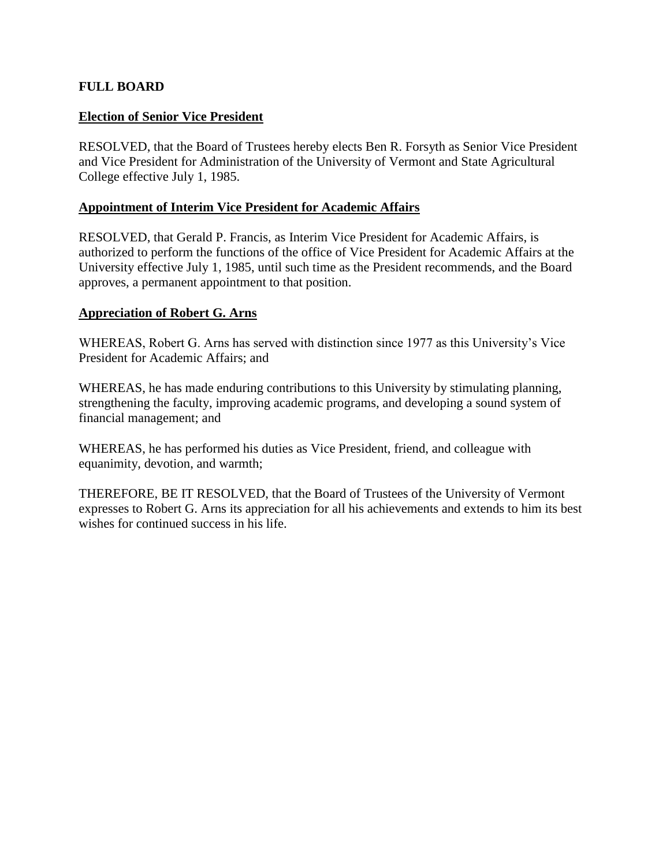## <span id="page-17-0"></span>**FULL BOARD**

### **Election of Senior Vice President**

RESOLVED, that the Board of Trustees hereby elects Ben R. Forsyth as Senior Vice President and Vice President for Administration of the University of Vermont and State Agricultural College effective July 1, 1985.

### **Appointment of Interim Vice President for Academic Affairs**

RESOLVED, that Gerald P. Francis, as Interim Vice President for Academic Affairs, is authorized to perform the functions of the office of Vice President for Academic Affairs at the University effective July 1, 1985, until such time as the President recommends, and the Board approves, a permanent appointment to that position.

#### **Appreciation of Robert G. Arns**

WHEREAS, Robert G. Arns has served with distinction since 1977 as this University's Vice President for Academic Affairs; and

WHEREAS, he has made enduring contributions to this University by stimulating planning, strengthening the faculty, improving academic programs, and developing a sound system of financial management; and

WHEREAS, he has performed his duties as Vice President, friend, and colleague with equanimity, devotion, and warmth;

THEREFORE, BE IT RESOLVED, that the Board of Trustees of the University of Vermont expresses to Robert G. Arns its appreciation for all his achievements and extends to him its best wishes for continued success in his life.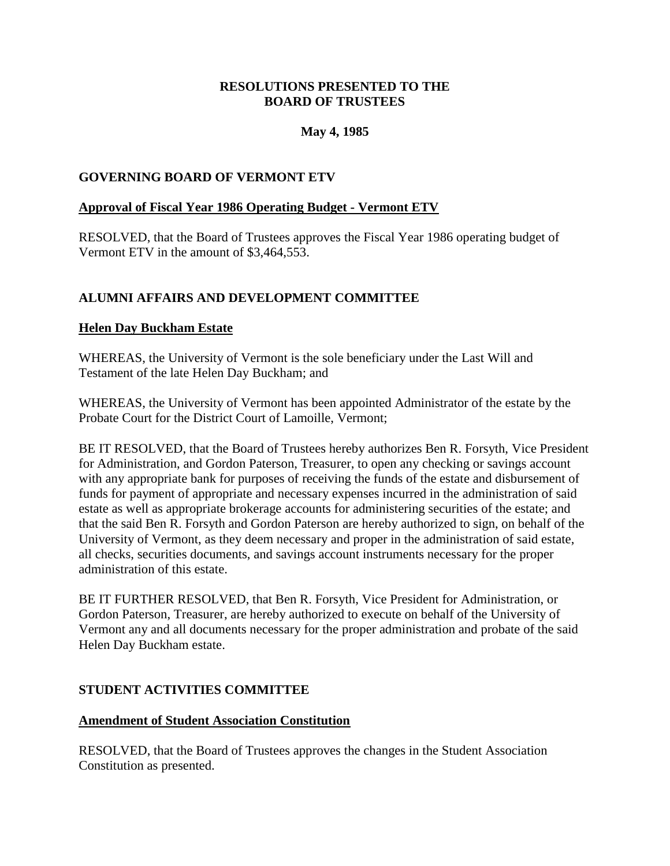## **May 4, 1985**

## <span id="page-18-0"></span>**GOVERNING BOARD OF VERMONT ETV**

## **Approval of Fiscal Year 1986 Operating Budget - Vermont ETV**

RESOLVED, that the Board of Trustees approves the Fiscal Year 1986 operating budget of Vermont ETV in the amount of \$3,464,553.

# **ALUMNI AFFAIRS AND DEVELOPMENT COMMITTEE**

### **Helen Day Buckham Estate**

WHEREAS, the University of Vermont is the sole beneficiary under the Last Will and Testament of the late Helen Day Buckham; and

WHEREAS, the University of Vermont has been appointed Administrator of the estate by the Probate Court for the District Court of Lamoille, Vermont;

BE IT RESOLVED, that the Board of Trustees hereby authorizes Ben R. Forsyth, Vice President for Administration, and Gordon Paterson, Treasurer, to open any checking or savings account with any appropriate bank for purposes of receiving the funds of the estate and disbursement of funds for payment of appropriate and necessary expenses incurred in the administration of said estate as well as appropriate brokerage accounts for administering securities of the estate; and that the said Ben R. Forsyth and Gordon Paterson are hereby authorized to sign, on behalf of the University of Vermont, as they deem necessary and proper in the administration of said estate, all checks, securities documents, and savings account instruments necessary for the proper administration of this estate.

BE IT FURTHER RESOLVED, that Ben R. Forsyth, Vice President for Administration, or Gordon Paterson, Treasurer, are hereby authorized to execute on behalf of the University of Vermont any and all documents necessary for the proper administration and probate of the said Helen Day Buckham estate.

#### **STUDENT ACTIVITIES COMMITTEE**

#### **Amendment of Student Association Constitution**

RESOLVED, that the Board of Trustees approves the changes in the Student Association Constitution as presented.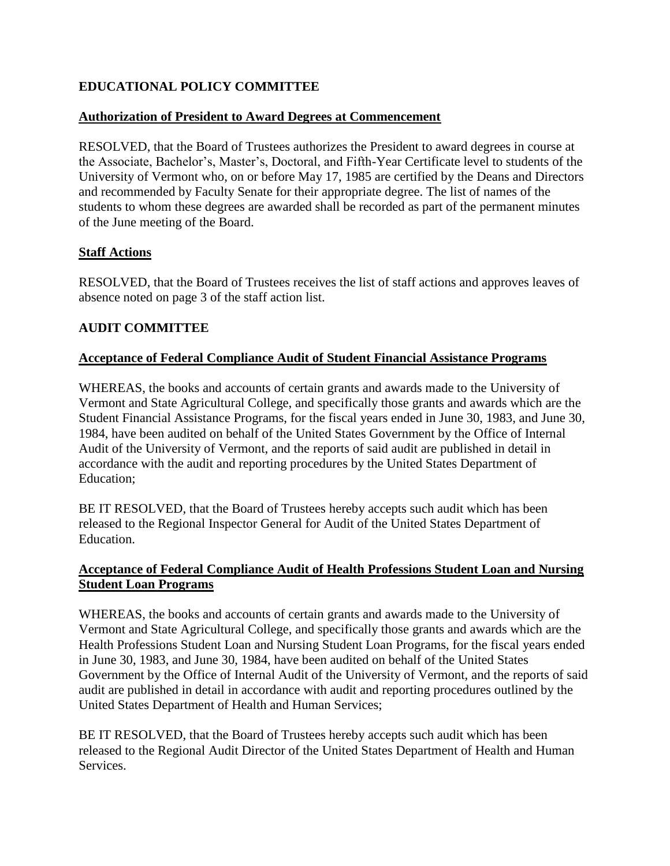# <span id="page-19-0"></span>**EDUCATIONAL POLICY COMMITTEE**

## **Authorization of President to Award Degrees at Commencement**

RESOLVED, that the Board of Trustees authorizes the President to award degrees in course at the Associate, Bachelor's, Master's, Doctoral, and Fifth-Year Certificate level to students of the University of Vermont who, on or before May 17, 1985 are certified by the Deans and Directors and recommended by Faculty Senate for their appropriate degree. The list of names of the students to whom these degrees are awarded shall be recorded as part of the permanent minutes of the June meeting of the Board.

# **Staff Actions**

RESOLVED, that the Board of Trustees receives the list of staff actions and approves leaves of absence noted on page 3 of the staff action list.

# **AUDIT COMMITTEE**

## **Acceptance of Federal Compliance Audit of Student Financial Assistance Programs**

WHEREAS, the books and accounts of certain grants and awards made to the University of Vermont and State Agricultural College, and specifically those grants and awards which are the Student Financial Assistance Programs, for the fiscal years ended in June 30, 1983, and June 30, 1984, have been audited on behalf of the United States Government by the Office of Internal Audit of the University of Vermont, and the reports of said audit are published in detail in accordance with the audit and reporting procedures by the United States Department of Education;

BE IT RESOLVED, that the Board of Trustees hereby accepts such audit which has been released to the Regional Inspector General for Audit of the United States Department of Education.

## **Acceptance of Federal Compliance Audit of Health Professions Student Loan and Nursing Student Loan Programs**

WHEREAS, the books and accounts of certain grants and awards made to the University of Vermont and State Agricultural College, and specifically those grants and awards which are the Health Professions Student Loan and Nursing Student Loan Programs, for the fiscal years ended in June 30, 1983, and June 30, 1984, have been audited on behalf of the United States Government by the Office of Internal Audit of the University of Vermont, and the reports of said audit are published in detail in accordance with audit and reporting procedures outlined by the United States Department of Health and Human Services;

BE IT RESOLVED, that the Board of Trustees hereby accepts such audit which has been released to the Regional Audit Director of the United States Department of Health and Human Services.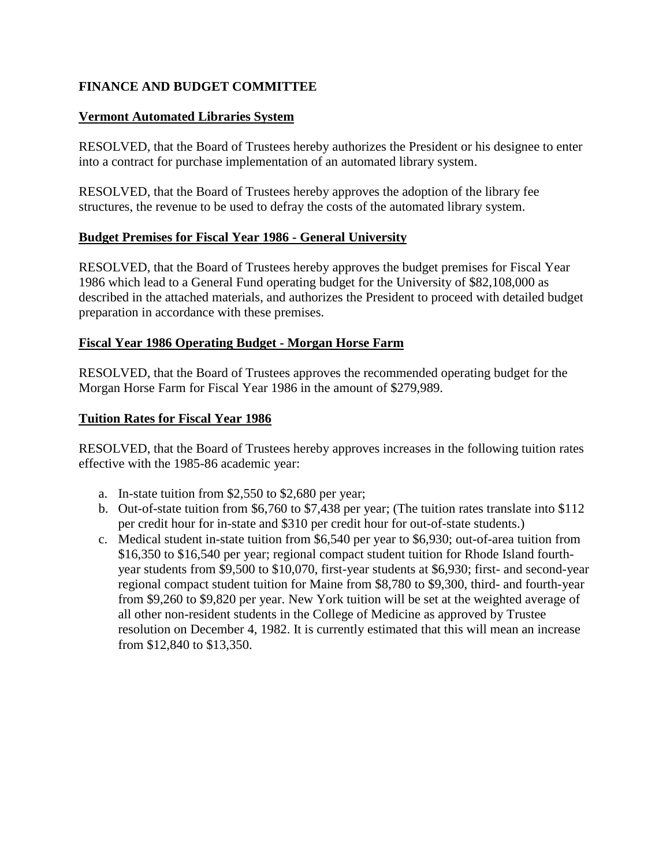# <span id="page-20-0"></span>**FINANCE AND BUDGET COMMITTEE**

## **Vermont Automated Libraries System**

RESOLVED, that the Board of Trustees hereby authorizes the President or his designee to enter into a contract for purchase implementation of an automated library system.

RESOLVED, that the Board of Trustees hereby approves the adoption of the library fee structures, the revenue to be used to defray the costs of the automated library system.

# **Budget Premises for Fiscal Year 1986 - General University**

RESOLVED, that the Board of Trustees hereby approves the budget premises for Fiscal Year 1986 which lead to a General Fund operating budget for the University of \$82,108,000 as described in the attached materials, and authorizes the President to proceed with detailed budget preparation in accordance with these premises.

## **Fiscal Year 1986 Operating Budget - Morgan Horse Farm**

RESOLVED, that the Board of Trustees approves the recommended operating budget for the Morgan Horse Farm for Fiscal Year 1986 in the amount of \$279,989.

# **Tuition Rates for Fiscal Year 1986**

RESOLVED, that the Board of Trustees hereby approves increases in the following tuition rates effective with the 1985-86 academic year:

- a. In-state tuition from \$2,550 to \$2,680 per year;
- b. Out-of-state tuition from \$6,760 to \$7,438 per year; (The tuition rates translate into \$112 per credit hour for in-state and \$310 per credit hour for out-of-state students.)
- c. Medical student in-state tuition from \$6,540 per year to \$6,930; out-of-area tuition from \$16,350 to \$16,540 per year; regional compact student tuition for Rhode Island fourthyear students from \$9,500 to \$10,070, first-year students at \$6,930; first- and second-year regional compact student tuition for Maine from \$8,780 to \$9,300, third- and fourth-year from \$9,260 to \$9,820 per year. New York tuition will be set at the weighted average of all other non-resident students in the College of Medicine as approved by Trustee resolution on December 4, 1982. It is currently estimated that this will mean an increase from \$12,840 to \$13,350.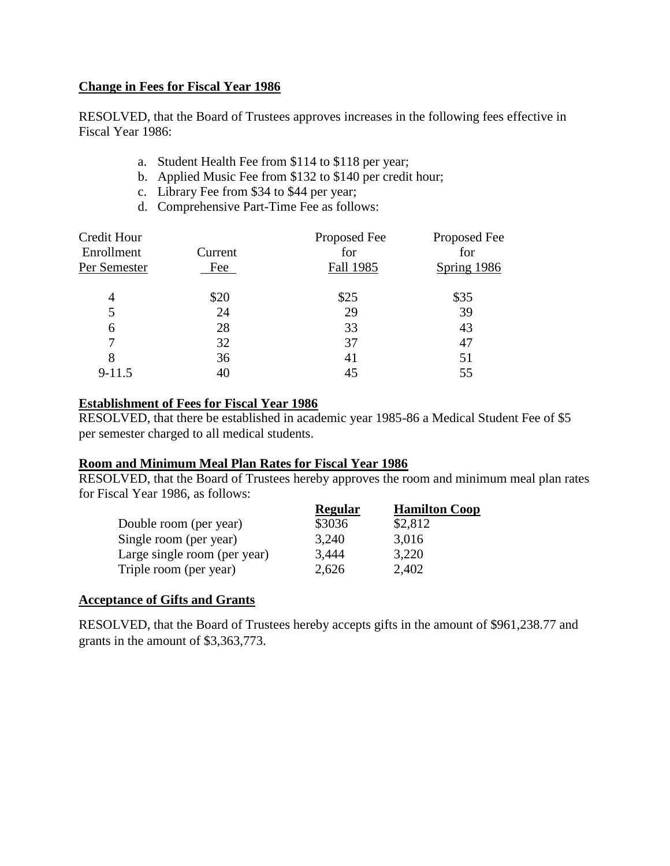### <span id="page-21-0"></span>**Change in Fees for Fiscal Year 1986**

RESOLVED, that the Board of Trustees approves increases in the following fees effective in Fiscal Year 1986:

- a. Student Health Fee from \$114 to \$118 per year;
- b. Applied Music Fee from \$132 to \$140 per credit hour;
- c. Library Fee from \$34 to \$44 per year;
- d. Comprehensive Part-Time Fee as follows:

| Credit Hour  |         | Proposed Fee     | Proposed Fee |
|--------------|---------|------------------|--------------|
| Enrollment   | Current | for              | for          |
| Per Semester | Fee     | <b>Fall 1985</b> | Spring 1986  |
| 4            | \$20    | \$25             | \$35         |
| 5            | 24      | 29               | 39           |
| 6            | 28      | 33               | 43           |
|              | 32      | 37               | 47           |
| 8            | 36      | 41               | 51           |
| $9 - 11.5$   | 40      | 45               | 55           |

#### **Establishment of Fees for Fiscal Year 1986**

RESOLVED, that there be established in academic year 1985-86 a Medical Student Fee of \$5 per semester charged to all medical students.

## **Room and Minimum Meal Plan Rates for Fiscal Year 1986**

RESOLVED, that the Board of Trustees hereby approves the room and minimum meal plan rates for Fiscal Year 1986, as follows:

|                              | Regular | <b>Hamilton Coop</b> |
|------------------------------|---------|----------------------|
| Double room (per year)       | \$3036  | \$2,812              |
| Single room (per year)       | 3,240   | 3,016                |
| Large single room (per year) | 3,444   | 3,220                |
| Triple room (per year)       | 2,626   | 2,402                |

## **Acceptance of Gifts and Grants**

RESOLVED, that the Board of Trustees hereby accepts gifts in the amount of \$961,238.77 and grants in the amount of \$3,363,773.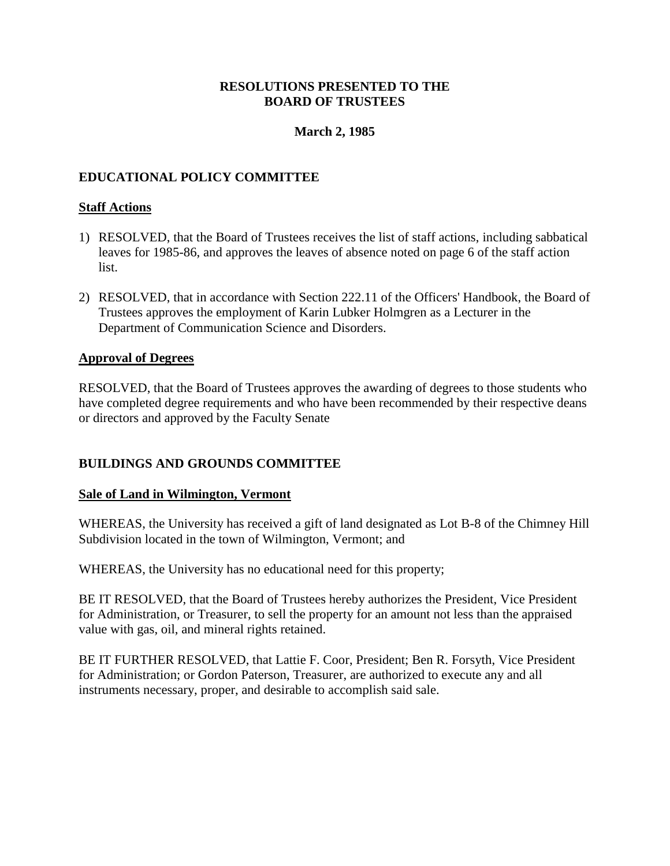## **March 2, 1985**

# <span id="page-22-0"></span>**EDUCATIONAL POLICY COMMITTEE**

## **Staff Actions**

- 1) RESOLVED, that the Board of Trustees receives the list of staff actions, including sabbatical leaves for 1985-86, and approves the leaves of absence noted on page 6 of the staff action list.
- 2) RESOLVED, that in accordance with Section 222.11 of the Officers' Handbook, the Board of Trustees approves the employment of Karin Lubker Holmgren as a Lecturer in the Department of Communication Science and Disorders.

#### **Approval of Degrees**

RESOLVED, that the Board of Trustees approves the awarding of degrees to those students who have completed degree requirements and who have been recommended by their respective deans or directors and approved by the Faculty Senate

## **BUILDINGS AND GROUNDS COMMITTEE**

#### **Sale of Land in Wilmington, Vermont**

WHEREAS, the University has received a gift of land designated as Lot B-8 of the Chimney Hill Subdivision located in the town of Wilmington, Vermont; and

WHEREAS, the University has no educational need for this property;

BE IT RESOLVED, that the Board of Trustees hereby authorizes the President, Vice President for Administration, or Treasurer, to sell the property for an amount not less than the appraised value with gas, oil, and mineral rights retained.

BE IT FURTHER RESOLVED, that Lattie F. Coor, President; Ben R. Forsyth, Vice President for Administration; or Gordon Paterson, Treasurer, are authorized to execute any and all instruments necessary, proper, and desirable to accomplish said sale.